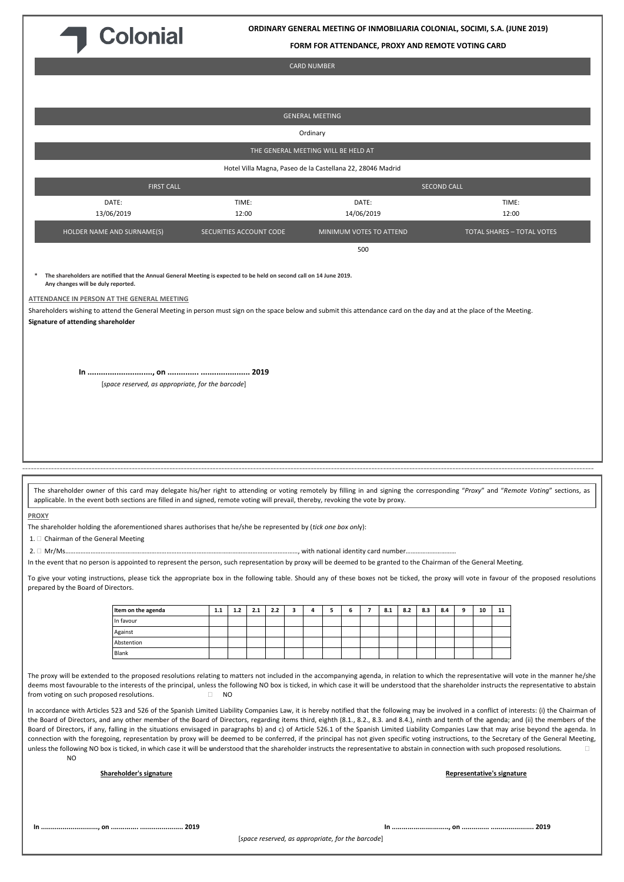

**ORDINARY GENERAL MEETING OF INMOBILIARIA COLONIAL, SOCIMI, S.A. (JUNE 2019)**

**FORM FOR ATTENDANCE, PROXY AND REMOTE VOTING CARD**

CARD NUMBER

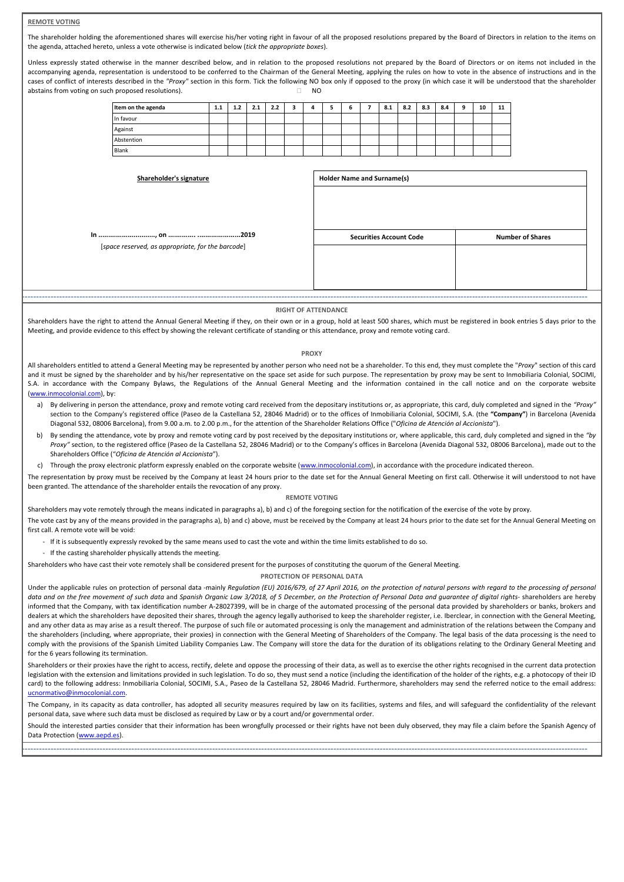# **REMOTE VOTING**

The shareholder holding the aforementioned shares will exercise his/her voting right in favour of all the proposed resolutions prepared by the Board of Directors in relation to the items on the agenda, attached hereto, unless a vote otherwise is indicated below (*tick the appropriate boxes*).

Unless expressly stated otherwise in the manner described below, and in relation to the proposed resolutions not prepared by the Board of Directors or on items not included in the accompanying agenda, representation is understood to be conferred to the Chairman of the General Meeting, applying the rules on how to vote in the absence of instructions and in the cases of conflict of interests described in the "Proxy" section in this form. Tick the following NO box only if opposed to the proxy (in which case it will be understood that the shareholder abstains from voting on such proposed resolutions).  $\Box$  NO

| Item on the agenda | 1.1 | 1.2 | 2.1 | 2.2 |  |  | 8.1 | 8.2 | 8.3 | 8.4 | ۰ | 10 | 11 |
|--------------------|-----|-----|-----|-----|--|--|-----|-----|-----|-----|---|----|----|
| In favour          |     |     |     |     |  |  |     |     |     |     |   |    |    |
| Against            |     |     |     |     |  |  |     |     |     |     |   |    |    |
| Abstention         |     |     |     |     |  |  |     |     |     |     |   |    |    |
| Blank              |     |     |     |     |  |  |     |     |     |     |   |    |    |

| Shareholder's signature                           | <b>Holder Name and Surname(s)</b> |                         |  |  |  |  |
|---------------------------------------------------|-----------------------------------|-------------------------|--|--|--|--|
|                                                   |                                   |                         |  |  |  |  |
| [space reserved, as appropriate, for the barcode] | <b>Securities Account Code</b>    | <b>Number of Shares</b> |  |  |  |  |
|                                                   |                                   |                         |  |  |  |  |
|                                                   |                                   |                         |  |  |  |  |
|                                                   |                                   |                         |  |  |  |  |

#### **RIGHT OF ATTENDANCE**

-------------------------------------------------------------------------------------------------------------------------------------------------------------------------------------------------------

Shareholders have the right to attend the Annual General Meeting if they, on their own or in a group, hold at least 500 shares, which must be registered in book entries 5 days prior to the Meeting, and provide evidence to this effect by showing the relevant certificate of standing or this attendance, proxy and remote voting card.

# **PROXY**

All shareholders entitled to attend a General Meeting may be represented by another person who need not be a shareholder. To this end, they must complete the "*Proxy*" section of this card and it must be signed by the shareholder and by his/her representative on the space set aside for such purpose. The representation by proxy may be sent to Inmobiliaria Colonial, SOCIMI, S.A. in accordance with the Company Bylaws, the Regulations of the Annual General Meeting and the information contained in the call notice and on the corporate website ([www.inmocolonial.com](http://www.inmocolonial.com/)), by:

- a) By delivering in person the attendance, proxy and remote voting card received from the depositary institutions or, as appropriate, this card, duly completed and signed in the *"Proxy"* section to the Company's registered office (Paseo de la Castellana 52, 28046 Madrid) or to the offices of Inmobiliaria Colonial, SOCIMI, S.A. (the **"Company"**) in Barcelona (Avenida Diagonal 532, 08006 Barcelona), from 9.00 a.m. to 2.00 p.m., for the attention of the Shareholder Relations Office ("*Oficina de Atención al Accionista*").
- b) By sending the attendance, vote by proxy and remote voting card by post received by the depositary institutions or, where applicable, this card, duly completed and signed in the *"by*  Proxy" section, to the registered office (Paseo de la Castellana 52, 28046 Madrid) or to the Company's offices in Barcelona (Avenida Diagonal 532, 08006 Barcelona), made out to the Shareholders Office ("*Oficina de Atención al Accionista*").
- c) Through the proxy electronic platform expressly enabled on the corporate website ([www.inmocolonial.com](http://www.inmocolonial.com/)), in accordance with the procedure indicated thereon.

The representation by proxy must be received by the Company at least 24 hours prior to the date set for the Annual General Meeting on first call. Otherwise it will understood to not have been granted. The attendance of the shareholder entails the revocation of any proxy.

#### **REMOTE VOTING**

Shareholders may vote remotely through the means indicated in paragraphs a), b) and c) of the foregoing section for the notification of the exercise of the vote by proxy.

The vote cast by any of the means provided in the paragraphs a), b) and c) above, must be received by the Company at least 24 hours prior to the date set for the Annual General Meeting on first call. A remote vote will be void:

- If it is subsequently expressly revoked by the same means used to cast the vote and within the time limits established to do so.
- If the casting shareholder physically attends the meeting.

Shareholders who have cast their vote remotely shall be considered present for the purposes of constituting the quorum of the General Meeting.

### **PROTECTION OF PERSONAL DATA**

Under the applicable rules on protection of personal data -mainly *Regulation (EU) 2016/679, of 27 April 2016, on the protection of natural persons with regard to the processing of personal data and on the free movement of such data* and *Spanish Organic Law 3/2018, of 5 December, on the Protection of Personal Data and guarantee of digital rights*- shareholders are hereby informed that the Company, with tax identification number A-28027399, will be in charge of the automated processing of the personal data provided by shareholders or banks, brokers and dealers at which the shareholders have deposited their shares, through the agency legally authorised to keep the shareholder register, i.e. Iberclear, in connection with the General Meeting, and any other data as may arise as a result thereof. The purpose of such file or automated processing is only the management and administration of the relations between the Company and the shareholders (including, where appropriate, their proxies) in connection with the General Meeting of Shareholders of the Company. The legal basis of the data processing is the need to comply with the provisions of the Spanish Limited Liability Companies Law. The Company will store the data for the duration of its obligations relating to the Ordinary General Meeting and for the 6 years following its termination.

Shareholders or their proxies have the right to access, rectify, delete and oppose the processing of their data, as well as to exercise the other rights recognised in the current data protection legislation with the extension and limitations provided in such legislation. To do so, they must send a notice (including the identification of the holder of the rights, e.g. a photocopy of their ID card) to the following address: Inmobiliaria Colonial, SOCIMI, S.A., Paseo de la Castellana 52, 28046 Madrid. Furthermore, shareholders may send the referred notice to the email address: [ucnormativo@inmocolonial.com.](mailto:ucnormativo@inmocolonial.com)

The Company, in its capacity as data controller, has adopted all security measures required by law on its facilities, systems and files, and will safeguard the confidentiality of the relevant personal data, save where such data must be disclosed as required by Law or by a court and/or governmental order.

Should the interested parties consider that their information has been wrongfully processed or their rights have not been duly observed, they may file a claim before the Spanish Agency of Data Protection [\(www.aepd.es](http://www.aepd.es/)). -------------------------------------------------------------------------------------------------------------------------------------------------------------------------------------------------------